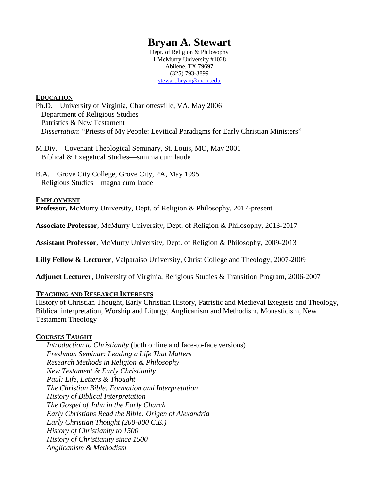# **Bryan A. Stewart**

Dept. of Religion & Philosophy 1 McMurry University #1028 Abilene, TX 79697 (325) 793-3899 [stewart.bryan@mcm.edu](mailto:stewart.bryan@mcm.edu)

#### **EDUCATION**

Ph.D. University of Virginia, Charlottesville, VA, May 2006 Department of Religious Studies Patristics & New Testament *Dissertation*: "Priests of My People: Levitical Paradigms for Early Christian Ministers"

M.Div. Covenant Theological Seminary, St. Louis, MO, May 2001 Biblical & Exegetical Studies—summa cum laude

B.A. Grove City College, Grove City, PA, May 1995 Religious Studies—magna cum laude

#### **EMPLOYMENT**

**Professor,** McMurry University, Dept. of Religion & Philosophy, 2017-present

**Associate Professor**, McMurry University, Dept. of Religion & Philosophy, 2013-2017

**Assistant Professor**, McMurry University, Dept. of Religion & Philosophy, 2009-2013

**Lilly Fellow & Lecturer**, Valparaiso University, Christ College and Theology, 2007-2009

**Adjunct Lecturer**, University of Virginia, Religious Studies & Transition Program, 2006-2007

#### **TEACHING AND RESEARCH INTERESTS**

History of Christian Thought, Early Christian History, Patristic and Medieval Exegesis and Theology, Biblical interpretation, Worship and Liturgy, Anglicanism and Methodism, Monasticism, New Testament Theology

#### **COURSES TAUGHT**

*Introduction to Christianity* (both online and face-to-face versions) *Freshman Seminar: Leading a Life That Matters Research Methods in Religion & Philosophy New Testament & Early Christianity Paul: Life, Letters & Thought The Christian Bible: Formation and Interpretation History of Biblical Interpretation The Gospel of John in the Early Church Early Christians Read the Bible: Origen of Alexandria Early Christian Thought (200-800 C.E.) History of Christianity to 1500 History of Christianity since 1500 Anglicanism & Methodism*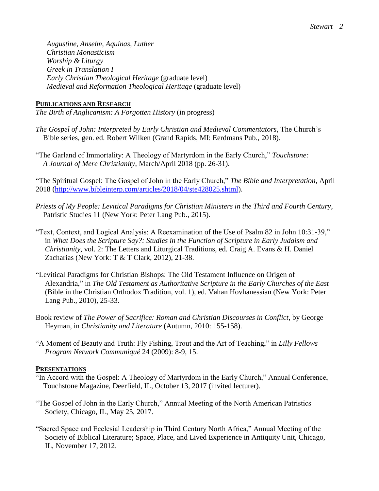*Augustine, Anselm, Aquinas, Luther Christian Monasticism Worship & Liturgy Greek in Translation I Early Christian Theological Heritage* (graduate level) *Medieval and Reformation Theological Heritage* (graduate level)

## **PUBLICATIONS AND RESEARCH**

*The Birth of Anglicanism: A Forgotten History* (in progress)

- *The Gospel of John: Interpreted by Early Christian and Medieval Commentators*, The Church's Bible series, gen. ed. Robert Wilken (Grand Rapids, MI: Eerdmans Pub., 2018).
- "The Garland of Immortality: A Theology of Martyrdom in the Early Church," *Touchstone: A Journal of Mere Christianity*, March/April 2018 (pp. 26-31).

"The Spiritual Gospel: The Gospel of John in the Early Church," *The Bible and Interpretation*, April 2018 [\(http://www.bibleinterp.com/articles/2018/04/ste428025.shtml\)](http://www.bibleinterp.com/articles/2018/04/ste428025.shtml).

- *Priests of My People: Levitical Paradigms for Christian Ministers in the Third and Fourth Century*, Patristic Studies 11 (New York: Peter Lang Pub., 2015).
- "Text, Context, and Logical Analysis: A Reexamination of the Use of Psalm 82 in John 10:31-39," in *What Does the Scripture Say?: Studies in the Function of Scripture in Early Judaism and Christianity*, vol. 2: The Letters and Liturgical Traditions, ed. Craig A. Evans & H. Daniel Zacharias (New York: T & T Clark, 2012), 21-38.
- "Levitical Paradigms for Christian Bishops: The Old Testament Influence on Origen of Alexandria," in *The Old Testament as Authoritative Scripture in the Early Churches of the East* (Bible in the Christian Orthodox Tradition, vol. 1), ed. Vahan Hovhanessian (New York: Peter Lang Pub., 2010), 25-33.
- Book review of *The Power of Sacrifice: Roman and Christian Discourses in Conflict*, by George Heyman, in *Christianity and Literature* (Autumn, 2010: 155-158).
- "A Moment of Beauty and Truth: Fly Fishing, Trout and the Art of Teaching," in *Lilly Fellows Program Network Communiqué* 24 (2009): 8-9, 15.

## **PRESENTATIONS**

- "In Accord with the Gospel: A Theology of Martyrdom in the Early Church," Annual Conference, Touchstone Magazine, Deerfield, IL, October 13, 2017 (invited lecturer).
- "The Gospel of John in the Early Church," Annual Meeting of the North American Patristics Society, Chicago, IL, May 25, 2017.
- "Sacred Space and Ecclesial Leadership in Third Century North Africa," Annual Meeting of the Society of Biblical Literature; Space, Place, and Lived Experience in Antiquity Unit, Chicago, IL, November 17, 2012.